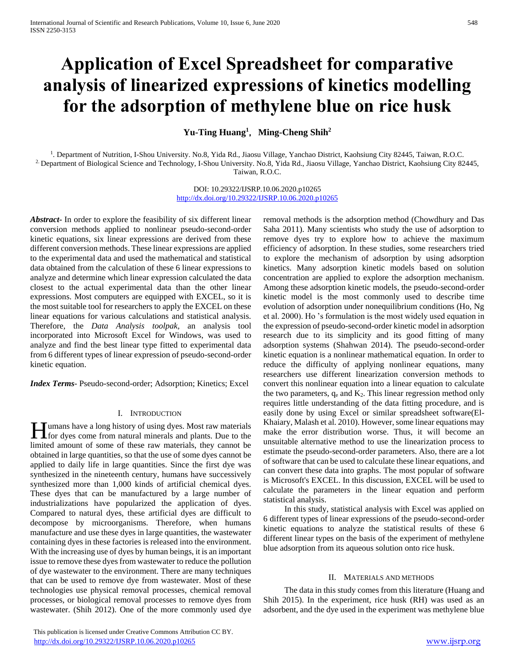# **Application of Excel Spreadsheet for comparative analysis of linearized expressions of kinetics modelling for the adsorption of methylene blue on rice husk**

**Yu-Ting Huang<sup>1</sup>**,**Ming-Cheng Shih<sup>2</sup>**

<sup>1</sup>. Department of Nutrition, I-Shou University. No.8, Yida Rd., Jiaosu Village, Yanchao District, Kaohsiung City 82445, Taiwan, R.O.C. 2. Department of Biological Science and Technology, I-Shou University. No.8, Yida Rd., Jiaosu Village, Yanchao District, Kaohsiung City 82445, Taiwan, R.O.C.

> DOI: 10.29322/IJSRP.10.06.2020.p10265 <http://dx.doi.org/10.29322/IJSRP.10.06.2020.p10265>

*Abstract***-** In order to explore the feasibility of six different linear conversion methods applied to nonlinear pseudo-second-order kinetic equations, six linear expressions are derived from these different conversion methods. These linear expressions are applied to the experimental data and used the mathematical and statistical data obtained from the calculation of these 6 linear expressions to analyze and determine which linear expression calculated the data closest to the actual experimental data than the other linear expressions. Most computers are equipped with EXCEL, so it is the most suitable tool for researchers to apply the EXCEL on these linear equations for various calculations and statistical analysis. Therefore, the *Data Analysis toolpak,* an analysis tool incorporated into Microsoft Excel for Windows, was used to analyze and find the best linear type fitted to experimental data from 6 different types of linear expression of pseudo-second-order kinetic equation.

*Index Terms*- Pseudo-second-order; Adsorption; Kinetics; Excel

## I. INTRODUCTION

umans have a long history of using dyes. Most raw materials **for** dyes come from natural minerals and plants. Due to the limited amount of some of these raw materials, they cannot be obtained in large quantities, so that the use of some dyes cannot be applied to daily life in large quantities. Since the first dye was synthesized in the nineteenth century, humans have successively synthesized more than 1,000 kinds of artificial chemical dyes. These dyes that can be manufactured by a large number of industrializations have popularized the application of dyes. Compared to natural dyes, these artificial dyes are difficult to decompose by microorganisms. Therefore, when humans manufacture and use these dyes in large quantities, the wastewater containing dyes in these factories is released into the environment. With the increasing use of dyes by human beings, it is an important issue to remove these dyes from wastewater to reduce the pollution of dye wastewater to the environment. There are many techniques that can be used to remove dye from wastewater. Most of these technologies use physical removal processes, chemical removal processes, or biological removal processes to remove dyes from wastewater. (Shih 2012). One of the more commonly used dye

Saha 2011). Many scientists who study the use of adsorption to remove dyes try to explore how to achieve the maximum efficiency of adsorption. In these studies, some researchers tried to explore the mechanism of adsorption by using adsorption kinetics. Many adsorption kinetic models based on solution concentration are applied to explore the adsorption mechanism. Among these adsorption kinetic models, the pseudo-second-order kinetic model is the most commonly used to describe time evolution of adsorption under nonequilibrium conditions (Ho, Ng et al. 2000). Ho 's formulation is the most widely used equation in the expression of pseudo-second-order kinetic model in adsorption research due to its simplicity and its good fitting of many adsorption systems (Shahwan 2014). The pseudo-second-order kinetic equation is a nonlinear mathematical equation. In order to reduce the difficulty of applying nonlinear equations, many researchers use different linearization conversion methods to convert this nonlinear equation into a linear equation to calculate the two parameters,  $q_e$  and  $K_2$ . This linear regression method only requires little understanding of the data fitting procedure, and is easily done by using Excel or similar spreadsheet software(El-Khaiary, Malash et al. 2010). However, some linear equations may make the error distribution worse. Thus, it will become an unsuitable alternative method to use the linearization process to estimate the pseudo-second-order parameters. Also, there are a lot of software that can be used to calculate these linear equations, and can convert these data into graphs. The most popular of software is Microsoft's EXCEL. In this discussion, EXCEL will be used to calculate the parameters in the linear equation and perform statistical analysis.

removal methods is the adsorption method (Chowdhury and Das

 In this study, statistical analysis with Excel was applied on 6 different types of linear expressions of the pseudo-second-order kinetic equations to analyze the statistical results of these 6 different linear types on the basis of the experiment of methylene blue adsorption from its aqueous solution onto rice husk.

## II. MATERIALS AND METHODS

 The data in this study comes from this literature (Huang and Shih 2015). In the experiment, rice husk (RH) was used as an adsorbent, and the dye used in the experiment was methylene blue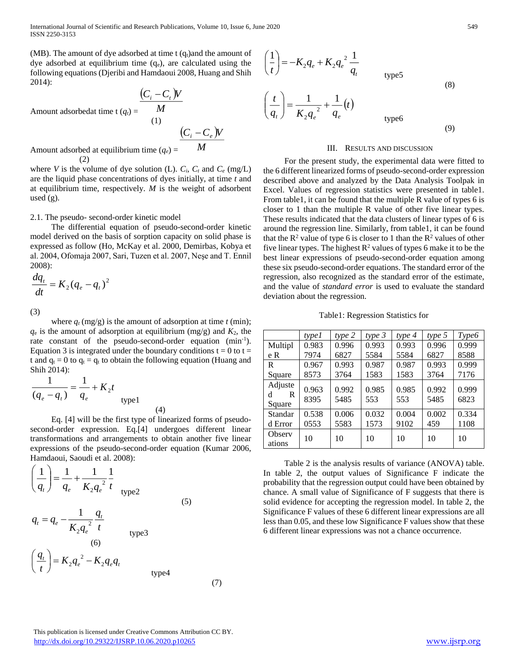International Journal of Scientific and Research Publications, Volume 10, Issue 6, June 2020 549 ISSN 2250-3153

(MB). The amount of dye adsorbed at time  $t$  (q<sub>t</sub>)and the amount of dye adsorbed at equilibrium time  $(q_e)$ , are calculated using the following equations (Djeribi and Hamdaoui 2008, Huang and Shih 2014):

Amount adsorbedat time  $t (q_t) =$  $(C_i-C_i)$ *M*  $C_i - C_t W$ (1) Amount adsorbed at equilibrium time  $(q_e)$  $\left(C_i-C_e\right)$ l *M*  $C_i - C_e W$ 

(2)

where *V* is the volume of dye solution (L).  $C_i$ ,  $C_t$  and  $C_e$  (mg/L) are the liquid phase concentrations of dyes initially, at time *t* and at equilibrium time, respectively. *M* is the weight of adsorbent used (g).

## 2.1. The pseudo- second-order kinetic model

 The differential equation of pseudo-second-order kinetic model derived on the basis of sorption capacity on solid phase is expressed as follow (Ho, McKay et al. 2000, Demirbas, Kobya et al. 2004, Ofomaja 2007, Sari, Tuzen et al. 2007, Neşe and T. Ennil 2008):

$$
\frac{dq_t}{dt} = K_2 (q_e - q_t)^2
$$

(3)

where  $q_t$  (mg/g) is the amount of adsorption at time  $t$  (min);  $q_e$  is the amount of adsorption at equilibrium (mg/g) and  $K_2$ , the rate constant of the pseudo-second-order equation  $(min^{-1})$ . Equation 3 is integrated under the boundary conditions  $t = 0$  to  $t =$ t and  $q_t = 0$  to  $q_t = q_t$  to obtain the following equation (Huang and Shih 2014):

$$
\frac{1}{(q_e - q_t)} = \frac{1}{q_e} + K_2 t
$$
 type1

 Eq. [4] will be the first type of linearized forms of pseudosecond-order expression. Eq.[4] undergoes different linear transformations and arrangements to obtain another five linear expressions of the pseudo-second-order equation (Kumar 2006, Hamdaoui, Saoudi et al. 2008):

(4)

(7)

$$
\left(\frac{1}{q_t}\right) = \frac{1}{q_e} + \frac{1}{K_2 q_e^2} \frac{1}{t}
$$
  
(5)  

$$
q_t = q_e - \frac{1}{K_2 q_e^2} \frac{q_t}{t}
$$
  
(6)  

$$
\left(\frac{q_t}{t}\right) = K_2 q_e^2 - K_2 q_e q_t
$$
  
(9)  
type4

$$
\left(\frac{1}{t}\right) = -K_2 q_e + K_2 q_e^2 \frac{1}{q_t}
$$
\n
$$
\left(\frac{t}{q_t}\right) = \frac{1}{K_2 q_e^2} + \frac{1}{q_e}(t)
$$
\n
$$
\text{(8)}
$$
\n
$$
\text{(9)}
$$

### III. RESULTS AND DISCUSSION

 For the present study, the experimental data were fitted to the 6 different linearized forms of pseudo-second-order expression described above and analyzed by the Data Analysis Toolpak in Excel. Values of regression statistics were presented in table1. From table1, it can be found that the multiple R value of types 6 is closer to 1 than the multiple R value of other five linear types. These results indicated that the data clusters of linear types of 6 is around the regression line. Similarly, from table1, it can be found that the  $R^2$  value of type 6 is closer to 1 than the  $R^2$  values of other five linear types. The highest  $\mathbb{R}^2$  values of types 6 make it to be the best linear expressions of pseudo-second-order equation among these six pseudo-second-order equations. The standard error of the regression, also recognized as the standard error of the estimate, and the value of *standard error* is used to evaluate the standard deviation about the regression.

Table1: Regression Statistics for

|                             | type 1        | type 2        | type 3        | type 4        | type 5        | Type6         |
|-----------------------------|---------------|---------------|---------------|---------------|---------------|---------------|
| Multipl                     | 0.983         | 0.996         | 0.993         | 0.993         | 0.996         | 0.999         |
| e R                         | 7974          | 6827          | 5584          | 5584          | 6827          | 8588          |
| R                           | 0.967         | 0.993         | 0.987         | 0.987         | 0.993         | 0.999         |
| Square                      | 8573          | 3764          | 1583          | 1583          | 3764          | 7176          |
| Adjuste<br>R<br>d<br>Square | 0.963<br>8395 | 0.992<br>5485 | 0.985<br>553  | 0.985<br>553  | 0.992<br>5485 | 0.999<br>6823 |
| Standar<br>d Error          | 0.538<br>0553 | 0.006<br>5583 | 0.032<br>1573 | 0.004<br>9102 | 0.002<br>459  | 0.334<br>1108 |
| Observ<br>ations            | 10            | 10            | 10            | 10            | 10            | 10            |

 Table 2 is the analysis results of variance (ANOVA) table. In table 2, the output values of Significance F indicate the probability that the regression output could have been obtained by chance. A small value of Significance of F suggests that there is solid evidence for accepting the regression model. In table 2, the Significance F values of these 6 different linear expressions are all less than 0.05, and these low Significance F values show that these 6 different linear expressions was not a chance occurrence.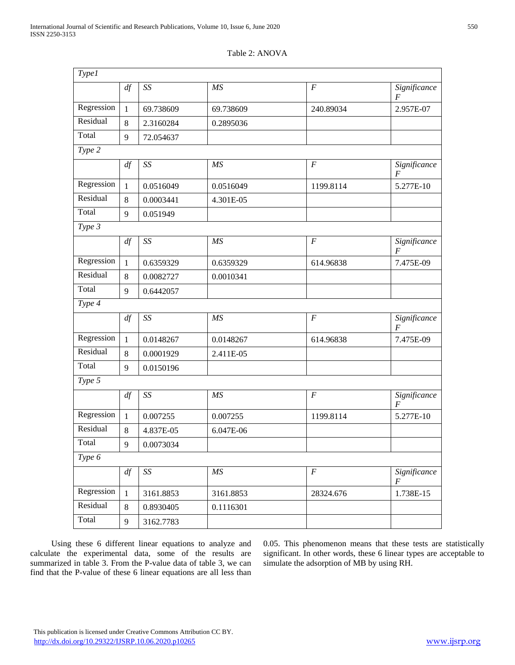| Type <sub>1</sub> |              |                          |           |                  |                                  |
|-------------------|--------------|--------------------------|-----------|------------------|----------------------------------|
|                   | df           | SS                       | MS        | $\overline{F}$   | Significance<br>F                |
| Regression        | $\mathbf{1}$ | 69.738609                | 69.738609 | 240.89034        | 2.957E-07                        |
| Residual          | 8            | 2.3160284                | 0.2895036 |                  |                                  |
| Total             | 9            | 72.054637                |           |                  |                                  |
| Type 2            |              |                          |           |                  |                                  |
|                   | df           | SS                       | MS        | $\boldsymbol{F}$ | Significance<br>$\overline{F}$   |
| Regression        | $\mathbf{1}$ | 0.0516049                | 0.0516049 | 1199.8114        | 5.277E-10                        |
| Residual          | 8            | 0.0003441                | 4.301E-05 |                  |                                  |
| Total             | 9            | 0.051949                 |           |                  |                                  |
| Type 3            |              |                          |           |                  |                                  |
|                   | df           | $\mathit{SS}$            | MS        | $\overline{F}$   | Significance<br>F                |
| Regression        | $\mathbf{1}$ | 0.6359329                | 0.6359329 | 614.96838        | 7.475E-09                        |
| Residual          | 8            | 0.0082727                | 0.0010341 |                  |                                  |
| Total             | 9            | 0.6442057                |           |                  |                                  |
| Type 4            |              |                          |           |                  |                                  |
|                   | df           | SS                       | MS        | $\boldsymbol{F}$ | Significance<br>$\boldsymbol{F}$ |
| Regression        | $\mathbf{1}$ | 0.0148267                | 0.0148267 | 614.96838        | 7.475E-09                        |
| Residual          | 8            | 0.0001929                | 2.411E-05 |                  |                                  |
| Total             | 9            | 0.0150196                |           |                  |                                  |
| Type 5            |              |                          |           |                  |                                  |
|                   | df           | SS                       | MS        | $\overline{F}$   | Significance<br>F                |
| Regression        | $\mathbf{1}$ | 0.007255                 | 0.007255  | 1199.8114        | 5.277E-10                        |
| Residual          | 8            | 4.837E-05                | 6.047E-06 |                  |                                  |
| Total             | $\mathbf{9}$ | 0.0073034                |           |                  |                                  |
| Type 6            |              |                          |           |                  |                                  |
|                   | df           | $\mathcal{S}\mathcal{S}$ | MS        | $\boldsymbol{F}$ | Significance<br>F                |
| Regression        | $\mathbf{1}$ | 3161.8853                | 3161.8853 | 28324.676        | 1.738E-15                        |
| Residual          | $\,8\,$      | 0.8930405                | 0.1116301 |                  |                                  |

# Table 2: ANOVA

 Using these 6 different linear equations to analyze and calculate the experimental data, some of the results are summarized in table 3. From the P-value data of table 3, we can find that the P-value of these 6 linear equations are all less than

Total 9 3162.7783

0.05. This phenomenon means that these tests are statistically significant. In other words, these 6 linear types are acceptable to simulate the adsorption of MB by using RH.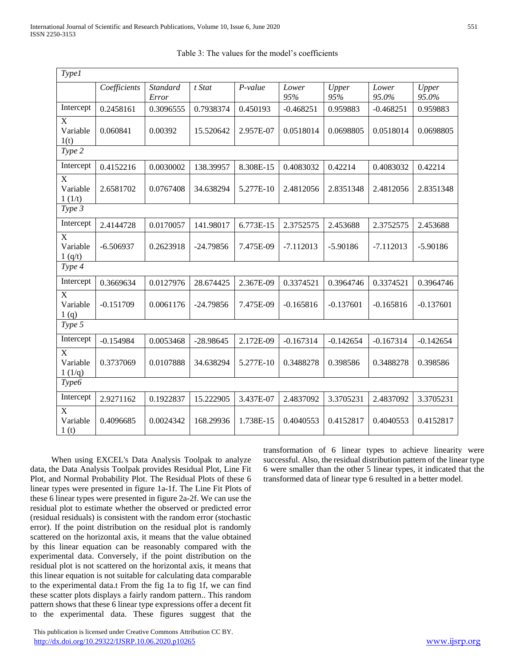| <b>Type1</b>                                    |              |                          |             |           |              |              |                |                |
|-------------------------------------------------|--------------|--------------------------|-------------|-----------|--------------|--------------|----------------|----------------|
|                                                 | Coefficients | <b>Standard</b><br>Error | t Stat      | $P-value$ | Lower<br>95% | Upper<br>95% | Lower<br>95.0% | Upper<br>95.0% |
| Intercept                                       | 0.2458161    | 0.3096555                | 0.7938374   | 0.450193  | $-0.468251$  | 0.959883     | $-0.468251$    | 0.959883       |
| $\boldsymbol{\mathrm{X}}$<br>Variable<br>1(t)   | 0.060841     | 0.00392                  | 15.520642   | 2.957E-07 | 0.0518014    | 0.0698805    | 0.0518014      | 0.0698805      |
| Type 2                                          |              |                          |             |           |              |              |                |                |
| Intercept                                       | 0.4152216    | 0.0030002                | 138.39957   | 8.308E-15 | 0.4083032    | 0.42214      | 0.4083032      | 0.42214        |
| $\boldsymbol{\mathrm{X}}$<br>Variable<br>1(1/t) | 2.6581702    | 0.0767408                | 34.638294   | 5.277E-10 | 2.4812056    | 2.8351348    | 2.4812056      | 2.8351348      |
| Type 3                                          |              |                          |             |           |              |              |                |                |
| Intercept                                       | 2.4144728    | 0.0170057                | 141.98017   | 6.773E-15 | 2.3752575    | 2.453688     | 2.3752575      | 2.453688       |
| X<br>Variable<br>1 (q/t)                        | $-6.506937$  | 0.2623918                | $-24.79856$ | 7.475E-09 | $-7.112013$  | $-5.90186$   | $-7.112013$    | $-5.90186$     |
| Type 4                                          |              |                          |             |           |              |              |                |                |
| Intercept                                       | 0.3669634    | 0.0127976                | 28.674425   | 2.367E-09 | 0.3374521    | 0.3964746    | 0.3374521      | 0.3964746      |
| X<br>Variable<br>1(q)                           | $-0.151709$  | 0.0061176                | $-24.79856$ | 7.475E-09 | $-0.165816$  | $-0.137601$  | $-0.165816$    | $-0.137601$    |
| Type 5                                          |              |                          |             |           |              |              |                |                |
| Intercept                                       | $-0.154984$  | 0.0053468                | $-28.98645$ | 2.172E-09 | $-0.167314$  | $-0.142654$  | $-0.167314$    | $-0.142654$    |
| X<br>Variable<br>1(1/q)                         | 0.3737069    | 0.0107888                | 34.638294   | 5.277E-10 | 0.3488278    | 0.398586     | 0.3488278      | 0.398586       |
| Type6                                           |              |                          |             |           |              |              |                |                |
| Intercept                                       | 2.9271162    | 0.1922837                | 15.222905   | 3.437E-07 | 2.4837092    | 3.3705231    | 2.4837092      | 3.3705231      |
| X<br>Variable<br>1 <sub>(t)</sub>               | 0.4096685    | 0.0024342                | 168.29936   | 1.738E-15 | 0.4040553    | 0.4152817    | 0.4040553      | 0.4152817      |

| Table 3: The values for the model's coefficients |
|--------------------------------------------------|
|                                                  |

 When using EXCEL's Data Analysis Toolpak to analyze data, the Data Analysis Toolpak provides Residual Plot, Line Fit Plot, and Normal Probability Plot. The Residual Plots of these 6 linear types were presented in figure 1a-1f. The Line Fit Plots of these 6 linear types were presented in figure 2a-2f. We can use the residual plot to estimate whether the observed or predicted error (residual residuals) is consistent with the random error (stochastic error). If the point distribution on the residual plot is randomly scattered on the horizontal axis, it means that the value obtained by this linear equation can be reasonably compared with the experimental data. Conversely, if the point distribution on the residual plot is not scattered on the horizontal axis, it means that this linear equation is not suitable for calculating data comparable to the experimental data.t From the fig 1a to fig 1f, we can find these scatter plots displays a fairly random pattern.. This random pattern shows that these 6 linear type expressions offer a decent fit to the experimental data. These figures suggest that the

 This publication is licensed under Creative Commons Attribution CC BY. <http://dx.doi.org/10.29322/IJSRP.10.06.2020.p10265> [www.ijsrp.org](http://ijsrp.org/)

transformation of 6 linear types to achieve linearity were successful. Also, the residual distribution pattern of the linear type 6 were smaller than the other 5 linear types, it indicated that the transformed data of linear type 6 resulted in a better model.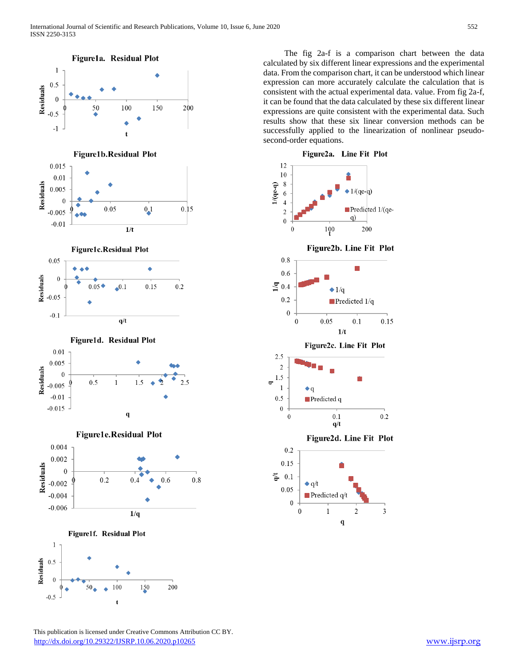

 The fig 2a-f is a comparison chart between the data calculated by six different linear expressions and the experimental data. From the comparison chart, it can be understood which linear expression can more accurately calculate the calculation that is consistent with the actual experimental data. value. From fig 2a-f, it can be found that the data calculated by these six different linear expressions are quite consistent with the experimental data. Such results show that these six linear conversion methods can be successfully applied to the linearization of nonlinear pseudosecond-order equations.



 This publication is licensed under Creative Commons Attribution CC BY. <http://dx.doi.org/10.29322/IJSRP.10.06.2020.p10265> [www.ijsrp.org](http://ijsrp.org/)

t

 $-0.5$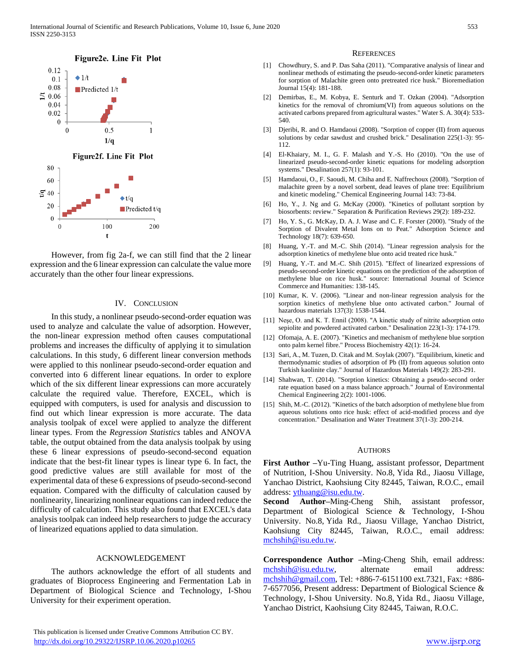

 However, from fig 2a-f, we can still find that the 2 linear expression and the 6 linear expression can calculate the value more accurately than the other four linear expressions.

# IV. CONCLUSION

 In this study, a nonlinear pseudo-second-order equation was used to analyze and calculate the value of adsorption. However, the non-linear expression method often causes computational problems and increases the difficulty of applying it to simulation calculations. In this study, 6 different linear conversion methods were applied to this nonlinear pseudo-second-order equation and converted into 6 different linear equations. In order to explore which of the six different linear expressions can more accurately calculate the required value. Therefore, EXCEL, which is equipped with computers, is used for analysis and discussion to find out which linear expression is more accurate. The data analysis toolpak of excel were applied to analyze the different linear types. From the *Regression Statistics* tables and ANOVA table, the output obtained from the data analysis toolpak by using these 6 linear expressions of pseudo-second-second equation indicate that the best-fit linear types is linear type 6. In fact, the good predictive values are still available for most of the experimental data of these 6 expressions of pseudo-second-second equation. Compared with the difficulty of calculation caused by nonlinearity, linearizing nonlinear equations can indeed reduce the difficulty of calculation. This study also found that EXCEL's data analysis toolpak can indeed help researchers to judge the accuracy of linearized equations applied to data simulation.

## ACKNOWLEDGEMENT

 The authors acknowledge the effort of all students and graduates of Bioprocess Engineering and Fermentation Lab in Department of Biological Science and Technology, I-Shou University for their experiment operation.

#### **REFERENCES**

- [1] Chowdhury, S. and P. Das Saha (2011). "Comparative analysis of linear and nonlinear methods of estimating the pseudo-second-order kinetic parameters for sorption of Malachite green onto pretreated rice husk." Bioremediation Journal 15(4): 181-188.
- [2] Demirbas, E., M. Kobya, E. Senturk and T. Ozkan (2004). "Adsorption kinetics for the removal of chromium(VI) from aqueous solutions on the activated carbons prepared from agricultural wastes." Water S. A. 30(4): 533- 540.
- [3] Djeribi, R. and O. Hamdaoui (2008). "Sorption of copper (II) from aqueous solutions by cedar sawdust and crushed brick." Desalination 225(1-3): 95- 112.
- [4] El-Khaiary, M. I., G. F. Malash and Y.-S. Ho (2010). "On the use of linearized pseudo-second-order kinetic equations for modeling adsorption systems." Desalination 257(1): 93-101.
- [5] Hamdaoui, O., F. Saoudi, M. Chiha and E. Naffrechoux (2008). "Sorption of malachite green by a novel sorbent, dead leaves of plane tree: Equilibrium and kinetic modeling." Chemical Engineering Journal 143: 73-84.
- [6] Ho, Y., J. Ng and G. McKay (2000). "Kinetics of pollutant sorption by biosorbents: review." Separation & Purification Reviews 29(2): 189-232.
- [7] Ho, Y. S., G. McKay, D. A. J. Wase and C. F. Forster (2000). "Study of the Sorption of Divalent Metal Ions on to Peat." Adsorption Science and Technology 18(7): 639-650.
- [8] Huang, Y.-T. and M.-C. Shih (2014). "Linear regression analysis for the adsorption kinetics of methylene blue onto acid treated rice husk."
- [9] Huang, Y.-T. and M.-C. Shih (2015). "Effect of linearized expressions of pseudo-second-order kinetic equations on the prediction of the adsorption of methylene blue on rice husk." source: International Journal of Science Commerce and Humanities: 138-145.
- [10] Kumar, K. V. (2006). "Linear and non-linear regression analysis for the sorption kinetics of methylene blue onto activated carbon." Journal of hazardous materials 137(3): 1538-1544.
- [11] Neşe, O. and K. T. Ennil (2008). "A kinetic study of nitrite adsorption onto sepiolite and powdered activated carbon." Desalination 223(1-3): 174-179.
- [12] Ofomaja, A. E. (2007). "Kinetics and mechanism of methylene blue sorption onto palm kernel fibre." Process Biochemistry 42(1): 16-24.
- [13] Sari, A., M. Tuzen, D. Citak and M. Soylak (2007). "Equilibrium, kinetic and thermodynamic studies of adsorption of Pb (II) from aqueous solution onto Turkish kaolinite clay." Journal of Hazardous Materials 149(2): 283-291.
- [14] Shahwan, T. (2014). "Sorption kinetics: Obtaining a pseudo-second order rate equation based on a mass balance approach." Journal of Environmental Chemical Engineering 2(2): 1001-1006.
- [15] Shih, M.-C. (2012). "Kinetics of the batch adsorption of methylene blue from aqueous solutions onto rice husk: effect of acid-modified process and dye concentration." Desalination and Water Treatment 37(1-3): 200-214.

#### **AUTHORS**

**First Author –**Yu-Ting Huang, assistant professor, Department of Nutrition, I-Shou University. No.8, Yida Rd., Jiaosu Village, Yanchao District, Kaohsiung City 82445, Taiwan, R.O.C., email address[: ythuang@isu.edu.tw.](mailto:ythuang@isu.edu.tw)

**Second Author–**Ming-Cheng Shih, assistant professor, Department of Biological Science & Technology, I-Shou University. No.8, Yida Rd., Jiaosu Village, Yanchao District, Kaohsiung City 82445, Taiwan, R.O.C., email address: [mchshih@isu.edu.tw.](mailto:mchshih@isu.edu.tw)

**Correspondence Author –**Ming-Cheng Shih, email address: [mchshih@isu.edu.tw,](mailto:mchshih@isu.edu.tw) alternate email address: [mchshih@gmail.com,](mailto:mchshih@gmail.com) Tel: +886-7-6151100 ext.7321, Fax: +886- 7-6577056, Present address: Department of Biological Science & Technology, I-Shou University. No.8, Yida Rd., Jiaosu Village, Yanchao District, Kaohsiung City 82445, Taiwan, R.O.C.